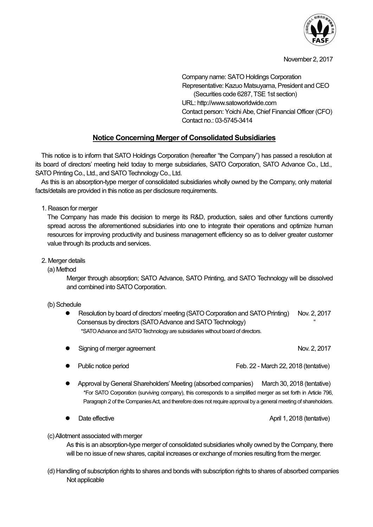

#### November 2, 2017

Company name: SATO Holdings Corporation Representative: Kazuo Matsuyama, President and CEO (Securities code 6287, TSE 1st section) URL: http://www.satoworldwide.com Contact person: Yoichi Abe, Chief Financial Officer (CFO) Contact no.: 03-5745-3414

# Notice Concerning Merger of Consolidated Subsidiaries

This notice is to inform that SATO Holdings Corporation (hereafter "the Company") has passed a resolution at its board of directors' meeting held today to merge subsidiaries, SATO Corporation, SATO Advance Co., Ltd., SATO Printing Co., Ltd., and SATO Technology Co., Ltd.

As this is an absorption-type merger of consolidated subsidiaries wholly owned by the Company, only material facts/details are provided in this notice as per disclosure requirements.

1. Reason for merger

The Company has made this decision to merge its R&D, production, sales and other functions currently spread across the aforementioned subsidiaries into one to integrate their operations and optimize human resources for improving productivity and business management efficiency so as to deliver greater customer value through its products and services.

#### 2. Merger details

#### (a) Method

Merger through absorption; SATO Advance, SATO Printing, and SATO Technology will be dissolved and combined into SATO Corporation.

#### (b) Schedule

Resolution by board of directors' meeting (SATO Corporation and SATO Printing) Nov. 2, 2017 Consensus by directors (SATO Advance and SATO Technology) \*SATO Advance and SATO Technology are subsidiaries without board of directors.

|  | Signing of merger agreement | Nov. 2, 2017 |
|--|-----------------------------|--------------|
|--|-----------------------------|--------------|

- Public notice period Feb. 22 March 22, 2018 (tentative)
- Approval by General Shareholders' Meeting (absorbed companies) March 30, 2018 (tentative) \*For SATO Corporation (surviving company), this corresponds to a simplified merger as set forth in Article 796, Paragraph 2 of the Companies Act, and therefore does not require approval by a general meeting of shareholders.
- Date effective **April 1, 2018** (tentative)

#### (c) Allotment associated with merger

As this is an absorption-type merger of consolidated subsidiaries wholly owned by the Company, there will be no issue of new shares, capital increases or exchange of monies resulting from the merger.

(d) Handling of subscription rights to shares and bonds with subscription rights to shares of absorbed companies Not applicable